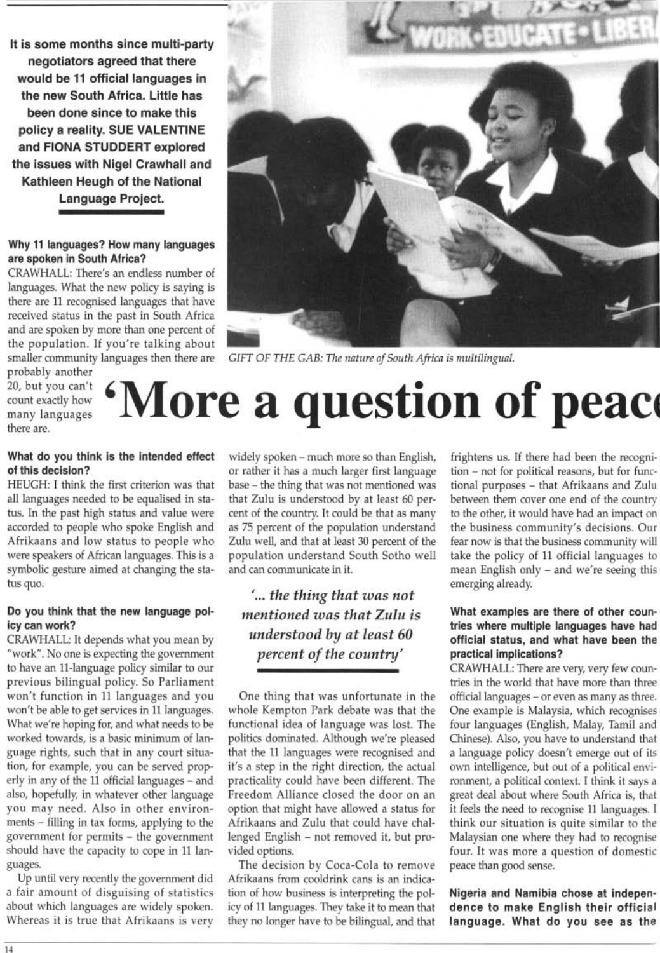It is some months since multi-party negotiators agreed that there would be 11 official languages in the new South Africa. Little has been done since to make this policy a reality. SUE VALENTINE and FIONA STUDDERT explored the issues with Nigel Crawhall and Kathleen Heugh of the National Language Project.

## Why 11 languages? How many languages are spoken in South Africa?

CRAWHALL: There's an endless number of languages. What the new policy is saying is there are 11 recognised languages that have received status in the past in South Africa and are spoken by more than one percent of the population. If you're talking about smaller community languages then there are

probably another 20, but you can't count exactly how many languages there are.

# More a question of peace

## What do you think is the intended effect of this decision?

HEUGH: I think the first criterion was that all languages needed to be equalised in status. In the past high status and value were accorded to people who spoke English and Afrikaans and low status to people who were speakers of African languages. This is a symbolic gesture aimed at changing the status quo.

## Do you think that the new language policy can work?

CRAWHALL: It depends what you mean by "work". No one is expecting the government to have an 11-language policy similar to our previous bilingual policy. So Parliament won't function in 11 languages and you won't be able to get services in 11 languages. What we're hoping for, and what needs to be worked towards, is a basic minimum of language rights, such that in any court situation, for example, you can be served properly in any of the 11 official languages – and also, hopefully, in whatever other language you may need. Also in other environments – filling in tax forms, applying to the government for permits - the government should have the capacity to cope in 11 languages.

widely spoken - much more so than English, or rather it has a much larger first language base - the thing that was not mentioned was that Zulu is understood by at least 60 percent of the country. It could be that as many as 75 percent of the population understand Zulu well, and that at least 30 percent of the population understand South Sotho well and can communicate in it.

## '... the thing that was not mentioned was that Zulu is understood by at least 60 percent of the country'

One thing that was unfortunate in the whole Kempton Park debate was that the functional idea of language was lost. The politics dominated. Although we're pleased that the 11 languages were recognised and it's a step in the right direction, the actual practicality could have been different. The Freedom Alliance closed the door on an option that might have allowed a status for Afrikaans and Zulu that could have challenged English - not removed it, but provided options.

frightens us. If there had been the recognition - not for political reasons, but for functional purposes - that Afrikaans and Zulu between them cover one end of the country to the other, it would have had an impact on the business community's decisions. Our fear now is that the business community will take the policy of 11 official languages to mean English only - and we're seeing this emerging already.

## What examples are there of other countries where multiple languages have had official status, and what have been the practical implications?

CRAWHALL: There are very, very few countries in the world that have more than three official languages - or even as many as three. One example is Malaysia, which recognises four languages (English, Malay, Tamil and Chinese). Also, you have to understand that a language policy doesn't emerge out of its own intelligence, but out of a political environment, a political context. I think it says a great deal about where South Africa is, that it feels the need to recognise 11 languages. I think our situation is quite similar to the Malaysian one where they had to recognise four. It was more a question of domestic peace than good sense.



GIFT OF THE GAB: The nature of South Africa is multilingual.

Up until very recently the government did a fair amount of disguising of statistics about which languages are widely spoken. Whereas it is true that Afrikaans is very

The decision by Coca-Cola to remove Afrikaans from cooldrink cans is an indication of how business is interpreting the policy of 11 languages. They take it to mean that they no longer have to be bilingual, and that

Nigeria and Namibia chose at independence to make English their official language. What do you see as the